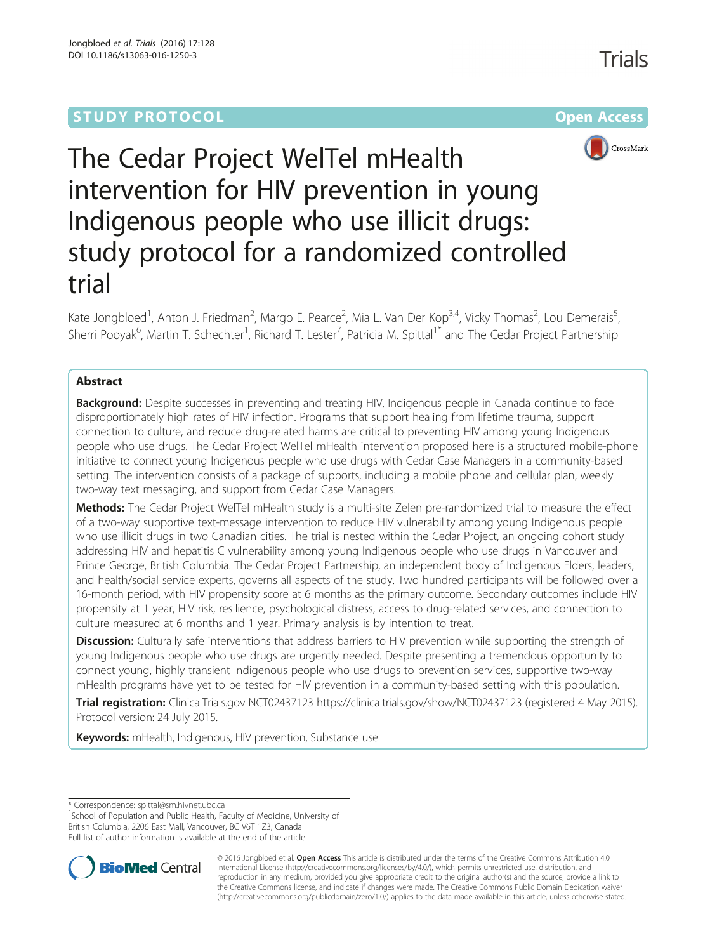# **STUDY PROTOCOL CONSUMING THE RESERVE ACCESS**

Trials



# The Cedar Project WelTel mHealth intervention for HIV prevention in young Indigenous people who use illicit drugs: study protocol for a randomized controlled trial

Kate Jongbloed<sup>1</sup>, Anton J. Friedman<sup>2</sup>, Margo E. Pearce<sup>2</sup>, Mia L. Van Der Kop<sup>3,4</sup>, Vicky Thomas<sup>2</sup>, Lou Demerais<sup>5</sup> , Sherri Pooyak<sup>6</sup>, Martin T. Schechter<sup>1</sup>, Richard T. Lester<sup>7</sup>, Patricia M. Spittal<sup>1\*</sup> and The Cedar Project Partnership

# Abstract

**Background:** Despite successes in preventing and treating HIV, Indigenous people in Canada continue to face disproportionately high rates of HIV infection. Programs that support healing from lifetime trauma, support connection to culture, and reduce drug-related harms are critical to preventing HIV among young Indigenous people who use drugs. The Cedar Project WelTel mHealth intervention proposed here is a structured mobile-phone initiative to connect young Indigenous people who use drugs with Cedar Case Managers in a community-based setting. The intervention consists of a package of supports, including a mobile phone and cellular plan, weekly two-way text messaging, and support from Cedar Case Managers.

Methods: The Cedar Project WelTel mHealth study is a multi-site Zelen pre-randomized trial to measure the effect of a two-way supportive text-message intervention to reduce HIV vulnerability among young Indigenous people who use illicit drugs in two Canadian cities. The trial is nested within the Cedar Project, an ongoing cohort study addressing HIV and hepatitis C vulnerability among young Indigenous people who use drugs in Vancouver and Prince George, British Columbia. The Cedar Project Partnership, an independent body of Indigenous Elders, leaders, and health/social service experts, governs all aspects of the study. Two hundred participants will be followed over a 16-month period, with HIV propensity score at 6 months as the primary outcome. Secondary outcomes include HIV propensity at 1 year, HIV risk, resilience, psychological distress, access to drug-related services, and connection to culture measured at 6 months and 1 year. Primary analysis is by intention to treat.

**Discussion:** Culturally safe interventions that address barriers to HIV prevention while supporting the strength of young Indigenous people who use drugs are urgently needed. Despite presenting a tremendous opportunity to connect young, highly transient Indigenous people who use drugs to prevention services, supportive two-way mHealth programs have yet to be tested for HIV prevention in a community-based setting with this population.

Trial registration: ClinicalTrials.gov NCT02437123<https://clinicaltrials.gov/show/NCT02437123> (registered 4 May 2015). Protocol version: 24 July 2015.

Keywords: mHealth, Indigenous, HIV prevention, Substance use

\* Correspondence: [spittal@sm.hivnet.ubc.ca](mailto:spittal@sm.hivnet.ubc.ca) <sup>1</sup>

<sup>1</sup>School of Population and Public Health, Faculty of Medicine, University of British Columbia, 2206 East Mall, Vancouver, BC V6T 1Z3, Canada Full list of author information is available at the end of the article



© 2016 Jongbloed et al. Open Access This article is distributed under the terms of the Creative Commons Attribution 4.0 International License [\(http://creativecommons.org/licenses/by/4.0/](http://creativecommons.org/licenses/by/4.0/)), which permits unrestricted use, distribution, and reproduction in any medium, provided you give appropriate credit to the original author(s) and the source, provide a link to the Creative Commons license, and indicate if changes were made. The Creative Commons Public Domain Dedication waiver [\(http://creativecommons.org/publicdomain/zero/1.0/](http://creativecommons.org/publicdomain/zero/1.0/)) applies to the data made available in this article, unless otherwise stated.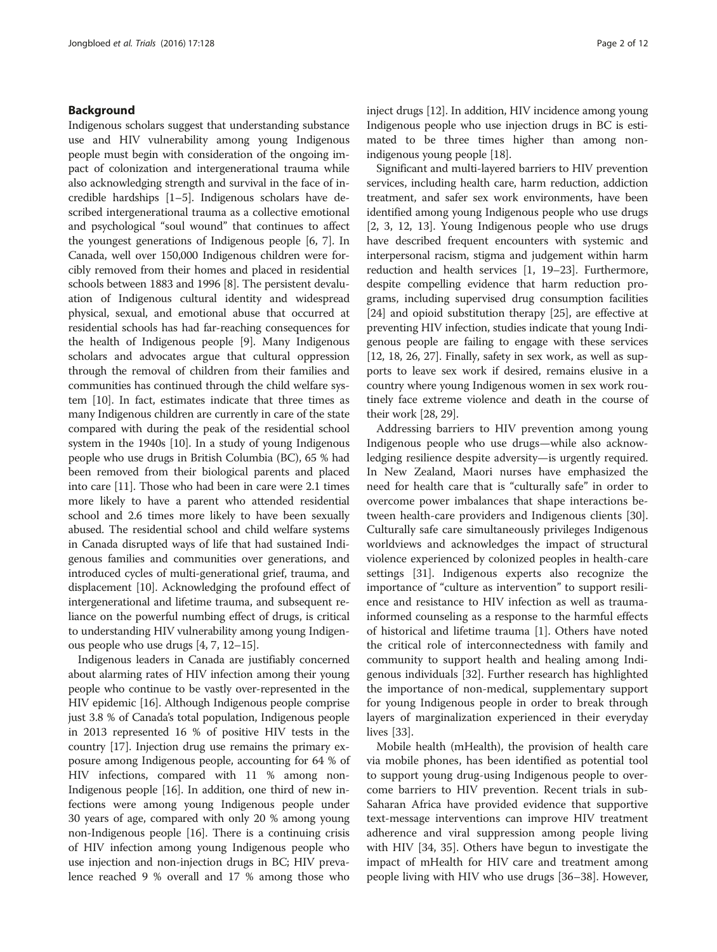# Background

Indigenous scholars suggest that understanding substance use and HIV vulnerability among young Indigenous people must begin with consideration of the ongoing impact of colonization and intergenerational trauma while also acknowledging strength and survival in the face of incredible hardships [[1](#page-10-0)–[5](#page-10-0)]. Indigenous scholars have described intergenerational trauma as a collective emotional and psychological "soul wound" that continues to affect the youngest generations of Indigenous people [\[6, 7\]](#page-10-0). In Canada, well over 150,000 Indigenous children were forcibly removed from their homes and placed in residential schools between 1883 and 1996 [[8](#page-10-0)]. The persistent devaluation of Indigenous cultural identity and widespread physical, sexual, and emotional abuse that occurred at residential schools has had far-reaching consequences for the health of Indigenous people [\[9](#page-10-0)]. Many Indigenous scholars and advocates argue that cultural oppression through the removal of children from their families and communities has continued through the child welfare system [[10](#page-10-0)]. In fact, estimates indicate that three times as many Indigenous children are currently in care of the state compared with during the peak of the residential school system in the 1940s [\[10\]](#page-10-0). In a study of young Indigenous people who use drugs in British Columbia (BC), 65 % had been removed from their biological parents and placed into care [[11\]](#page-10-0). Those who had been in care were 2.1 times more likely to have a parent who attended residential school and 2.6 times more likely to have been sexually abused. The residential school and child welfare systems in Canada disrupted ways of life that had sustained Indigenous families and communities over generations, and introduced cycles of multi-generational grief, trauma, and displacement [\[10\]](#page-10-0). Acknowledging the profound effect of intergenerational and lifetime trauma, and subsequent reliance on the powerful numbing effect of drugs, is critical to understanding HIV vulnerability among young Indigenous people who use drugs [[4, 7](#page-10-0), [12](#page-10-0)–[15\]](#page-10-0).

Indigenous leaders in Canada are justifiably concerned about alarming rates of HIV infection among their young people who continue to be vastly over-represented in the HIV epidemic [\[16\]](#page-10-0). Although Indigenous people comprise just 3.8 % of Canada's total population, Indigenous people in 2013 represented 16 % of positive HIV tests in the country [\[17\]](#page-10-0). Injection drug use remains the primary exposure among Indigenous people, accounting for 64 % of HIV infections, compared with 11 % among non-Indigenous people [[16](#page-10-0)]. In addition, one third of new infections were among young Indigenous people under 30 years of age, compared with only 20 % among young non-Indigenous people [[16](#page-10-0)]. There is a continuing crisis of HIV infection among young Indigenous people who use injection and non-injection drugs in BC; HIV prevalence reached 9 % overall and 17 % among those who inject drugs [\[12\]](#page-10-0). In addition, HIV incidence among young Indigenous people who use injection drugs in BC is estimated to be three times higher than among nonindigenous young people [\[18\]](#page-10-0).

Significant and multi-layered barriers to HIV prevention services, including health care, harm reduction, addiction treatment, and safer sex work environments, have been identified among young Indigenous people who use drugs [[2, 3](#page-10-0), [12](#page-10-0), [13\]](#page-10-0). Young Indigenous people who use drugs have described frequent encounters with systemic and interpersonal racism, stigma and judgement within harm reduction and health services [[1, 19](#page-10-0)–[23\]](#page-10-0). Furthermore, despite compelling evidence that harm reduction programs, including supervised drug consumption facilities [[24](#page-10-0)] and opioid substitution therapy [[25\]](#page-10-0), are effective at preventing HIV infection, studies indicate that young Indigenous people are failing to engage with these services [[12](#page-10-0), [18](#page-10-0), [26](#page-10-0), [27\]](#page-10-0). Finally, safety in sex work, as well as supports to leave sex work if desired, remains elusive in a country where young Indigenous women in sex work routinely face extreme violence and death in the course of their work [\[28, 29\]](#page-10-0).

Addressing barriers to HIV prevention among young Indigenous people who use drugs—while also acknowledging resilience despite adversity—is urgently required. In New Zealand, Maori nurses have emphasized the need for health care that is "culturally safe" in order to overcome power imbalances that shape interactions between health-care providers and Indigenous clients [\[30](#page-10-0)]. Culturally safe care simultaneously privileges Indigenous worldviews and acknowledges the impact of structural violence experienced by colonized peoples in health-care settings [[31\]](#page-10-0). Indigenous experts also recognize the importance of "culture as intervention" to support resilience and resistance to HIV infection as well as traumainformed counseling as a response to the harmful effects of historical and lifetime trauma [\[1](#page-10-0)]. Others have noted the critical role of interconnectedness with family and community to support health and healing among Indigenous individuals [[32\]](#page-10-0). Further research has highlighted the importance of non-medical, supplementary support for young Indigenous people in order to break through layers of marginalization experienced in their everyday lives [[33](#page-10-0)].

Mobile health (mHealth), the provision of health care via mobile phones, has been identified as potential tool to support young drug-using Indigenous people to overcome barriers to HIV prevention. Recent trials in sub-Saharan Africa have provided evidence that supportive text-message interventions can improve HIV treatment adherence and viral suppression among people living with HIV [[34](#page-10-0), [35\]](#page-10-0). Others have begun to investigate the impact of mHealth for HIV care and treatment among people living with HIV who use drugs [[36](#page-10-0)–[38](#page-10-0)]. However,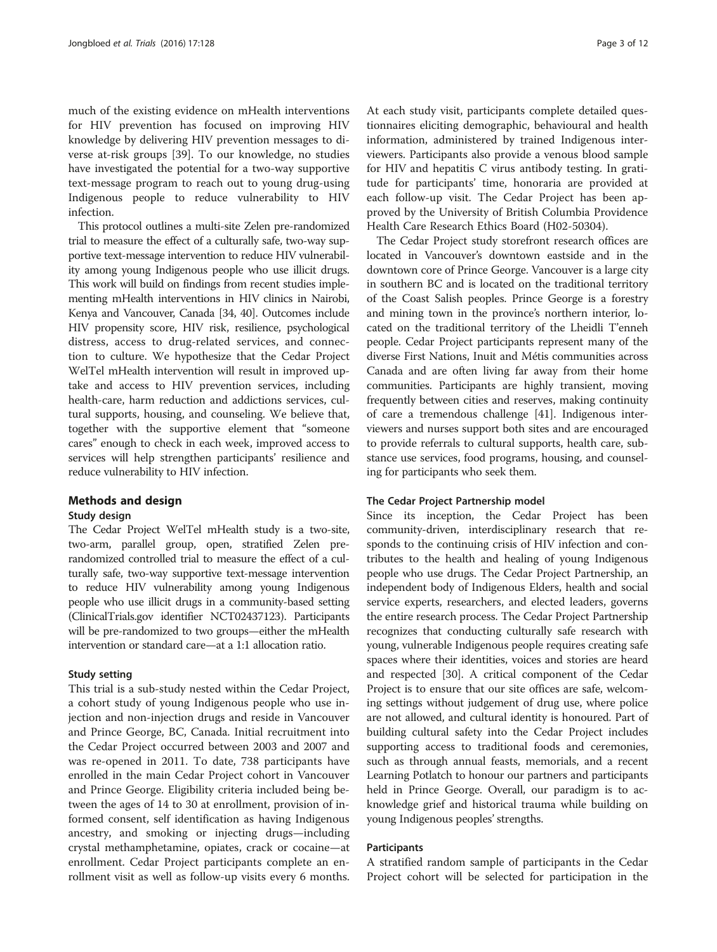much of the existing evidence on mHealth interventions for HIV prevention has focused on improving HIV knowledge by delivering HIV prevention messages to diverse at-risk groups [[39\]](#page-10-0). To our knowledge, no studies have investigated the potential for a two-way supportive text-message program to reach out to young drug-using Indigenous people to reduce vulnerability to HIV infection.

This protocol outlines a multi-site Zelen pre-randomized trial to measure the effect of a culturally safe, two-way supportive text-message intervention to reduce HIV vulnerability among young Indigenous people who use illicit drugs. This work will build on findings from recent studies implementing mHealth interventions in HIV clinics in Nairobi, Kenya and Vancouver, Canada [\[34](#page-10-0), [40](#page-11-0)]. Outcomes include HIV propensity score, HIV risk, resilience, psychological distress, access to drug-related services, and connection to culture. We hypothesize that the Cedar Project WelTel mHealth intervention will result in improved uptake and access to HIV prevention services, including health-care, harm reduction and addictions services, cultural supports, housing, and counseling. We believe that, together with the supportive element that "someone cares" enough to check in each week, improved access to services will help strengthen participants' resilience and reduce vulnerability to HIV infection.

#### Methods and design

#### Study design

The Cedar Project WelTel mHealth study is a two-site, two-arm, parallel group, open, stratified Zelen prerandomized controlled trial to measure the effect of a culturally safe, two-way supportive text-message intervention to reduce HIV vulnerability among young Indigenous people who use illicit drugs in a community-based setting (ClinicalTrials.gov identifier NCT02437123). Participants will be pre-randomized to two groups—either the mHealth intervention or standard care—at a 1:1 allocation ratio.

#### Study setting

This trial is a sub-study nested within the Cedar Project, a cohort study of young Indigenous people who use injection and non-injection drugs and reside in Vancouver and Prince George, BC, Canada. Initial recruitment into the Cedar Project occurred between 2003 and 2007 and was re-opened in 2011. To date, 738 participants have enrolled in the main Cedar Project cohort in Vancouver and Prince George. Eligibility criteria included being between the ages of 14 to 30 at enrollment, provision of informed consent, self identification as having Indigenous ancestry, and smoking or injecting drugs—including crystal methamphetamine, opiates, crack or cocaine—at enrollment. Cedar Project participants complete an enrollment visit as well as follow-up visits every 6 months.

At each study visit, participants complete detailed questionnaires eliciting demographic, behavioural and health information, administered by trained Indigenous interviewers. Participants also provide a venous blood sample for HIV and hepatitis C virus antibody testing. In gratitude for participants' time, honoraria are provided at each follow-up visit. The Cedar Project has been approved by the University of British Columbia Providence Health Care Research Ethics Board (H02-50304).

The Cedar Project study storefront research offices are located in Vancouver's downtown eastside and in the downtown core of Prince George. Vancouver is a large city in southern BC and is located on the traditional territory of the Coast Salish peoples. Prince George is a forestry and mining town in the province's northern interior, located on the traditional territory of the Lheidli T'enneh people. Cedar Project participants represent many of the diverse First Nations, Inuit and Métis communities across Canada and are often living far away from their home communities. Participants are highly transient, moving frequently between cities and reserves, making continuity of care a tremendous challenge [\[41\]](#page-11-0). Indigenous interviewers and nurses support both sites and are encouraged to provide referrals to cultural supports, health care, substance use services, food programs, housing, and counseling for participants who seek them.

#### The Cedar Project Partnership model

Since its inception, the Cedar Project has been community-driven, interdisciplinary research that responds to the continuing crisis of HIV infection and contributes to the health and healing of young Indigenous people who use drugs. The Cedar Project Partnership, an independent body of Indigenous Elders, health and social service experts, researchers, and elected leaders, governs the entire research process. The Cedar Project Partnership recognizes that conducting culturally safe research with young, vulnerable Indigenous people requires creating safe spaces where their identities, voices and stories are heard and respected [\[30](#page-10-0)]. A critical component of the Cedar Project is to ensure that our site offices are safe, welcoming settings without judgement of drug use, where police are not allowed, and cultural identity is honoured. Part of building cultural safety into the Cedar Project includes supporting access to traditional foods and ceremonies, such as through annual feasts, memorials, and a recent Learning Potlatch to honour our partners and participants held in Prince George. Overall, our paradigm is to acknowledge grief and historical trauma while building on young Indigenous peoples' strengths.

#### Participants

A stratified random sample of participants in the Cedar Project cohort will be selected for participation in the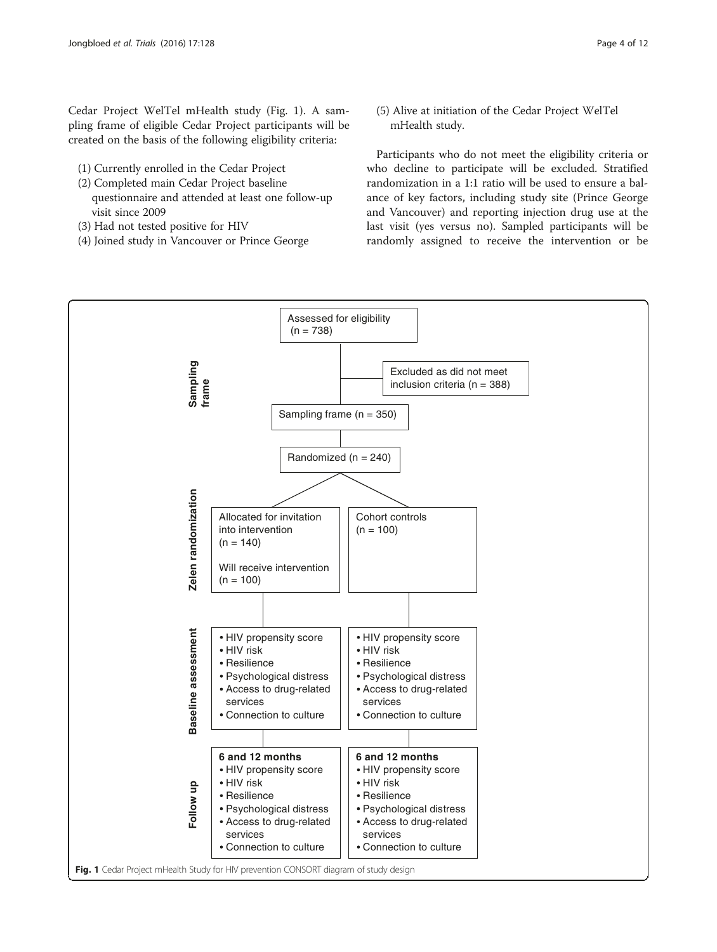Cedar Project WelTel mHealth study (Fig. 1). A sampling frame of eligible Cedar Project participants will be created on the basis of the following eligibility criteria:

- (1) Currently enrolled in the Cedar Project
- (2) Completed main Cedar Project baseline questionnaire and attended at least one follow-up visit since 2009
- (3) Had not tested positive for HIV
- (4) Joined study in Vancouver or Prince George

(5) Alive at initiation of the Cedar Project WelTel mHealth study.

Participants who do not meet the eligibility criteria or who decline to participate will be excluded. Stratified randomization in a 1:1 ratio will be used to ensure a balance of key factors, including study site (Prince George and Vancouver) and reporting injection drug use at the last visit (yes versus no). Sampled participants will be randomly assigned to receive the intervention or be

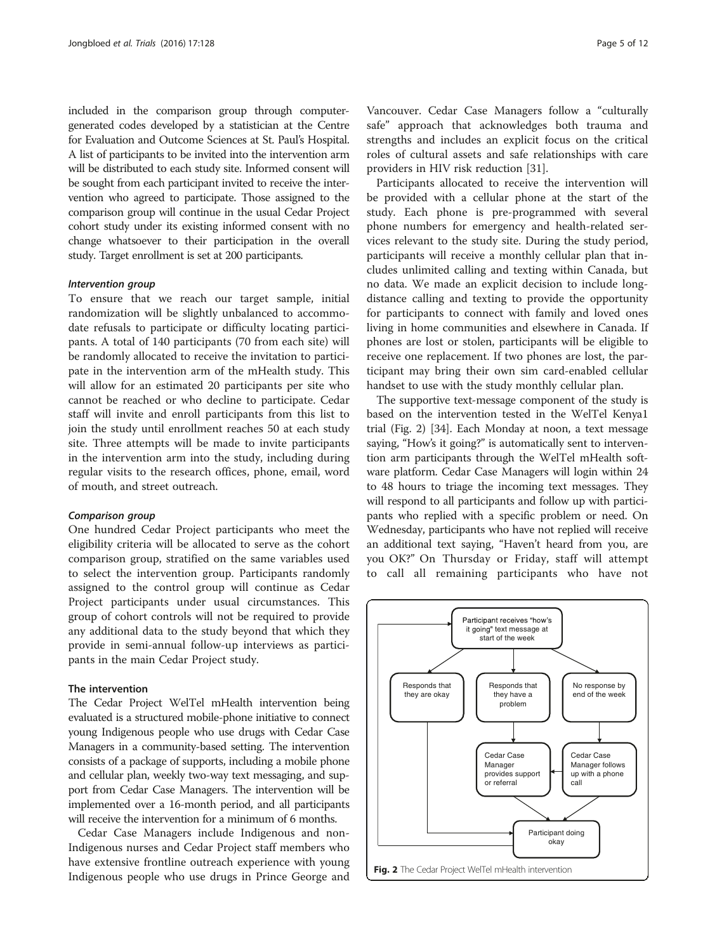included in the comparison group through computergenerated codes developed by a statistician at the Centre for Evaluation and Outcome Sciences at St. Paul's Hospital. A list of participants to be invited into the intervention arm will be distributed to each study site. Informed consent will be sought from each participant invited to receive the intervention who agreed to participate. Those assigned to the comparison group will continue in the usual Cedar Project cohort study under its existing informed consent with no change whatsoever to their participation in the overall study. Target enrollment is set at 200 participants.

#### Intervention group

To ensure that we reach our target sample, initial randomization will be slightly unbalanced to accommodate refusals to participate or difficulty locating participants. A total of 140 participants (70 from each site) will be randomly allocated to receive the invitation to participate in the intervention arm of the mHealth study. This will allow for an estimated 20 participants per site who cannot be reached or who decline to participate. Cedar staff will invite and enroll participants from this list to join the study until enrollment reaches 50 at each study site. Three attempts will be made to invite participants in the intervention arm into the study, including during regular visits to the research offices, phone, email, word of mouth, and street outreach.

#### Comparison group

One hundred Cedar Project participants who meet the eligibility criteria will be allocated to serve as the cohort comparison group, stratified on the same variables used to select the intervention group. Participants randomly assigned to the control group will continue as Cedar Project participants under usual circumstances. This group of cohort controls will not be required to provide any additional data to the study beyond that which they provide in semi-annual follow-up interviews as participants in the main Cedar Project study.

#### The intervention

The Cedar Project WelTel mHealth intervention being evaluated is a structured mobile-phone initiative to connect young Indigenous people who use drugs with Cedar Case Managers in a community-based setting. The intervention consists of a package of supports, including a mobile phone and cellular plan, weekly two-way text messaging, and support from Cedar Case Managers. The intervention will be implemented over a 16-month period, and all participants will receive the intervention for a minimum of 6 months.

Cedar Case Managers include Indigenous and non-Indigenous nurses and Cedar Project staff members who have extensive frontline outreach experience with young Indigenous people who use drugs in Prince George and Vancouver. Cedar Case Managers follow a "culturally safe" approach that acknowledges both trauma and strengths and includes an explicit focus on the critical roles of cultural assets and safe relationships with care providers in HIV risk reduction [[31](#page-10-0)].

Participants allocated to receive the intervention will be provided with a cellular phone at the start of the study. Each phone is pre-programmed with several phone numbers for emergency and health-related services relevant to the study site. During the study period, participants will receive a monthly cellular plan that includes unlimited calling and texting within Canada, but no data. We made an explicit decision to include longdistance calling and texting to provide the opportunity for participants to connect with family and loved ones living in home communities and elsewhere in Canada. If phones are lost or stolen, participants will be eligible to receive one replacement. If two phones are lost, the participant may bring their own sim card-enabled cellular handset to use with the study monthly cellular plan.

The supportive text-message component of the study is based on the intervention tested in the WelTel Kenya1 trial (Fig. 2) [[34](#page-10-0)]. Each Monday at noon, a text message saying, "How's it going?" is automatically sent to intervention arm participants through the WelTel mHealth software platform. Cedar Case Managers will login within 24 to 48 hours to triage the incoming text messages. They will respond to all participants and follow up with participants who replied with a specific problem or need. On Wednesday, participants who have not replied will receive an additional text saying, "Haven't heard from you, are you OK?" On Thursday or Friday, staff will attempt to call all remaining participants who have not

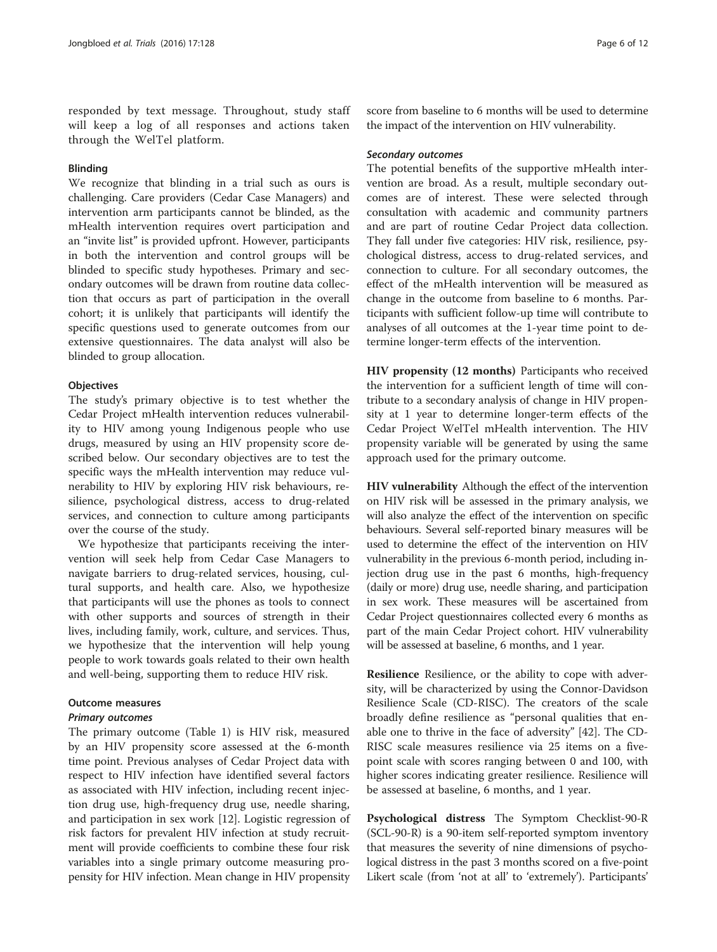responded by text message. Throughout, study staff will keep a log of all responses and actions taken through the WelTel platform.

# Blinding

We recognize that blinding in a trial such as ours is challenging. Care providers (Cedar Case Managers) and intervention arm participants cannot be blinded, as the mHealth intervention requires overt participation and an "invite list" is provided upfront. However, participants in both the intervention and control groups will be blinded to specific study hypotheses. Primary and secondary outcomes will be drawn from routine data collection that occurs as part of participation in the overall cohort; it is unlikely that participants will identify the specific questions used to generate outcomes from our extensive questionnaires. The data analyst will also be blinded to group allocation.

# **Objectives**

The study's primary objective is to test whether the Cedar Project mHealth intervention reduces vulnerability to HIV among young Indigenous people who use drugs, measured by using an HIV propensity score described below. Our secondary objectives are to test the specific ways the mHealth intervention may reduce vulnerability to HIV by exploring HIV risk behaviours, resilience, psychological distress, access to drug-related services, and connection to culture among participants over the course of the study.

We hypothesize that participants receiving the intervention will seek help from Cedar Case Managers to navigate barriers to drug-related services, housing, cultural supports, and health care. Also, we hypothesize that participants will use the phones as tools to connect with other supports and sources of strength in their lives, including family, work, culture, and services. Thus, we hypothesize that the intervention will help young people to work towards goals related to their own health and well-being, supporting them to reduce HIV risk.

# Outcome measures

# Primary outcomes

The primary outcome (Table [1\)](#page-6-0) is HIV risk, measured by an HIV propensity score assessed at the 6-month time point. Previous analyses of Cedar Project data with respect to HIV infection have identified several factors as associated with HIV infection, including recent injection drug use, high-frequency drug use, needle sharing, and participation in sex work [\[12](#page-10-0)]. Logistic regression of risk factors for prevalent HIV infection at study recruitment will provide coefficients to combine these four risk variables into a single primary outcome measuring propensity for HIV infection. Mean change in HIV propensity score from baseline to 6 months will be used to determine the impact of the intervention on HIV vulnerability.

#### Secondary outcomes

The potential benefits of the supportive mHealth intervention are broad. As a result, multiple secondary outcomes are of interest. These were selected through consultation with academic and community partners and are part of routine Cedar Project data collection. They fall under five categories: HIV risk, resilience, psychological distress, access to drug-related services, and connection to culture. For all secondary outcomes, the effect of the mHealth intervention will be measured as change in the outcome from baseline to 6 months. Participants with sufficient follow-up time will contribute to analyses of all outcomes at the 1-year time point to determine longer-term effects of the intervention.

HIV propensity (12 months) Participants who received the intervention for a sufficient length of time will contribute to a secondary analysis of change in HIV propensity at 1 year to determine longer-term effects of the Cedar Project WelTel mHealth intervention. The HIV propensity variable will be generated by using the same approach used for the primary outcome.

HIV vulnerability Although the effect of the intervention on HIV risk will be assessed in the primary analysis, we will also analyze the effect of the intervention on specific behaviours. Several self-reported binary measures will be used to determine the effect of the intervention on HIV vulnerability in the previous 6-month period, including injection drug use in the past 6 months, high-frequency (daily or more) drug use, needle sharing, and participation in sex work. These measures will be ascertained from Cedar Project questionnaires collected every 6 months as part of the main Cedar Project cohort. HIV vulnerability will be assessed at baseline, 6 months, and 1 year.

Resilience Resilience, or the ability to cope with adversity, will be characterized by using the Connor-Davidson Resilience Scale (CD-RISC). The creators of the scale broadly define resilience as "personal qualities that enable one to thrive in the face of adversity" [[42\]](#page-11-0). The CD-RISC scale measures resilience via 25 items on a fivepoint scale with scores ranging between 0 and 100, with higher scores indicating greater resilience. Resilience will be assessed at baseline, 6 months, and 1 year.

Psychological distress The Symptom Checklist-90-R (SCL-90-R) is a 90-item self-reported symptom inventory that measures the severity of nine dimensions of psychological distress in the past 3 months scored on a five-point Likert scale (from 'not at all' to 'extremely'). Participants'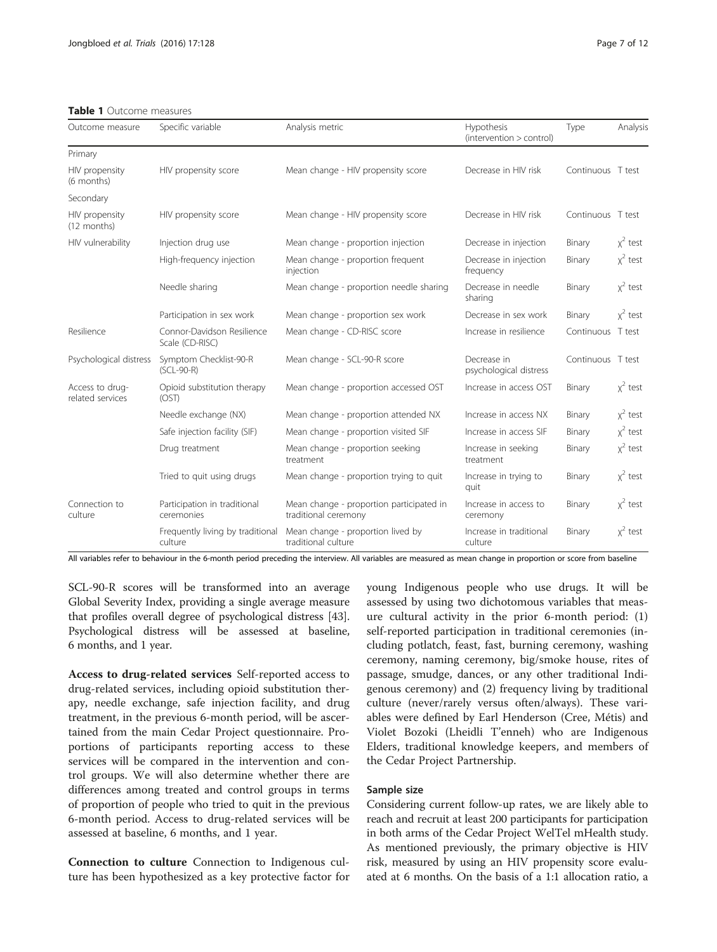<span id="page-6-0"></span>Table 1 Outcome measures

| Outcome measure                     | Specific variable                             | Analysis metric                                                  | Hypothesis<br>(intervention > control) | Type              | Analysis   |
|-------------------------------------|-----------------------------------------------|------------------------------------------------------------------|----------------------------------------|-------------------|------------|
| Primary                             |                                               |                                                                  |                                        |                   |            |
| HIV propensity<br>(6 months)        | HIV propensity score                          | Mean change - HIV propensity score                               | Decrease in HIV risk                   | Continuous T test |            |
| Secondary                           |                                               |                                                                  |                                        |                   |            |
| HIV propensity<br>(12 months)       | HIV propensity score                          | Mean change - HIV propensity score                               | Decrease in HIV risk                   | Continuous T test |            |
| HIV vulnerability                   | Injection drug use                            | Mean change - proportion injection                               | Decrease in injection                  | Binary            | $x^2$ test |
|                                     | High-frequency injection                      | Mean change - proportion frequent<br>injection                   | Decrease in injection<br>frequency     | Binary            | $x^2$ test |
|                                     | Needle sharing                                | Mean change - proportion needle sharing                          | Decrease in needle<br>sharing          | Binary            | $x^2$ test |
|                                     | Participation in sex work                     | Mean change - proportion sex work                                | Decrease in sex work                   | Binary            | $x^2$ test |
| Resilience                          | Connor-Davidson Resilience<br>Scale (CD-RISC) | Mean change - CD-RISC score                                      | Increase in resilience                 | Continuous T test |            |
| Psychological distress              | Symptom Checklist-90-R<br>(SCL-90-R)          | Mean change - SCL-90-R score                                     | Decrease in<br>psychological distress  | Continuous T test |            |
| Access to drug-<br>related services | Opioid substitution therapy<br>(OST)          | Mean change - proportion accessed OST                            | Increase in access OST                 | Binary            | $x^2$ test |
|                                     | Needle exchange (NX)                          | Mean change - proportion attended NX                             | Increase in access NX                  | Binary            | $x^2$ test |
|                                     | Safe injection facility (SIF)                 | Mean change - proportion visited SIF                             | Increase in access SIF                 | Binary            | $x^2$ test |
|                                     | Drug treatment                                | Mean change - proportion seeking<br>treatment                    | Increase in seeking<br>treatment       | Binary            | $x^2$ test |
|                                     | Tried to quit using drugs                     | Mean change - proportion trying to quit                          | Increase in trying to<br>quit          | Binary            | $x^2$ test |
| Connection to<br>culture            | Participation in traditional<br>ceremonies    | Mean change - proportion participated in<br>traditional ceremony | Increase in access to<br>ceremony      | Binary            | $x^2$ test |
|                                     | Frequently living by traditional<br>culture   | Mean change - proportion lived by<br>traditional culture         | Increase in traditional<br>culture     | Binary            | $x^2$ test |

All variables refer to behaviour in the 6-month period preceding the interview. All variables are measured as mean change in proportion or score from baseline

SCL-90-R scores will be transformed into an average Global Severity Index, providing a single average measure that profiles overall degree of psychological distress [[43](#page-11-0)]. Psychological distress will be assessed at baseline, 6 months, and 1 year.

Access to drug-related services Self-reported access to drug-related services, including opioid substitution therapy, needle exchange, safe injection facility, and drug treatment, in the previous 6-month period, will be ascertained from the main Cedar Project questionnaire. Proportions of participants reporting access to these services will be compared in the intervention and control groups. We will also determine whether there are differences among treated and control groups in terms of proportion of people who tried to quit in the previous 6-month period. Access to drug-related services will be assessed at baseline, 6 months, and 1 year.

Connection to culture Connection to Indigenous culture has been hypothesized as a key protective factor for young Indigenous people who use drugs. It will be assessed by using two dichotomous variables that measure cultural activity in the prior 6-month period: (1) self-reported participation in traditional ceremonies (including potlatch, feast, fast, burning ceremony, washing ceremony, naming ceremony, big/smoke house, rites of passage, smudge, dances, or any other traditional Indigenous ceremony) and (2) frequency living by traditional culture (never/rarely versus often/always). These variables were defined by Earl Henderson (Cree, Métis) and Violet Bozoki (Lheidli T'enneh) who are Indigenous Elders, traditional knowledge keepers, and members of the Cedar Project Partnership.

# Sample size

Considering current follow-up rates, we are likely able to reach and recruit at least 200 participants for participation in both arms of the Cedar Project WelTel mHealth study. As mentioned previously, the primary objective is HIV risk, measured by using an HIV propensity score evaluated at 6 months. On the basis of a 1:1 allocation ratio, a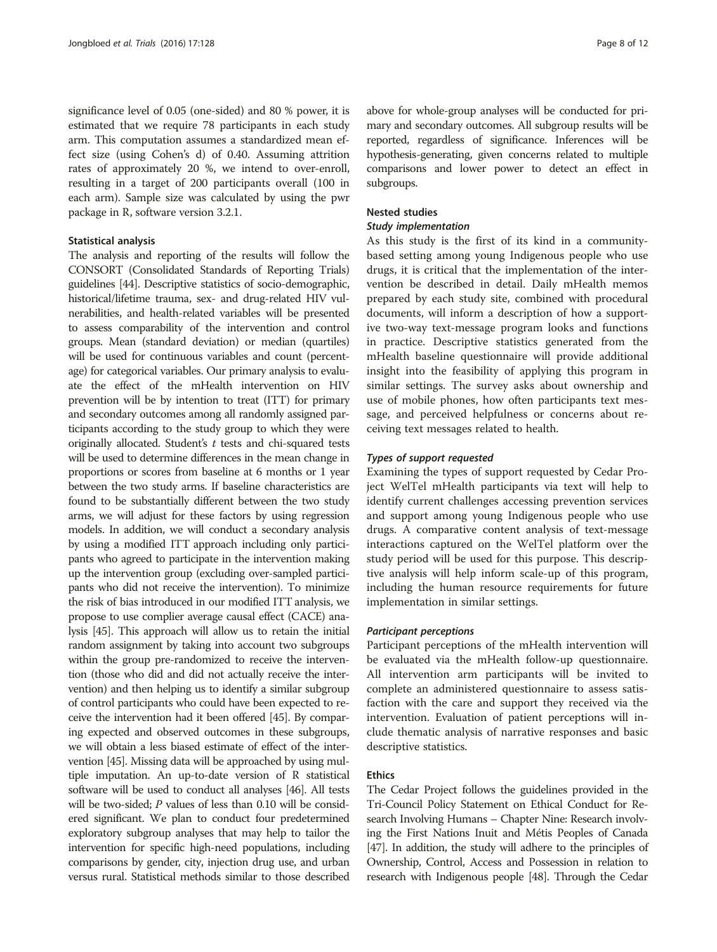significance level of 0.05 (one-sided) and 80 % power, it is estimated that we require 78 participants in each study arm. This computation assumes a standardized mean effect size (using Cohen's d) of 0.40. Assuming attrition rates of approximately 20 %, we intend to over-enroll, resulting in a target of 200 participants overall (100 in each arm). Sample size was calculated by using the pwr package in R, software version 3.2.1.

# Statistical analysis

The analysis and reporting of the results will follow the CONSORT (Consolidated Standards of Reporting Trials) guidelines [\[44](#page-11-0)]. Descriptive statistics of socio-demographic, historical/lifetime trauma, sex- and drug-related HIV vulnerabilities, and health-related variables will be presented to assess comparability of the intervention and control groups. Mean (standard deviation) or median (quartiles) will be used for continuous variables and count (percentage) for categorical variables. Our primary analysis to evaluate the effect of the mHealth intervention on HIV prevention will be by intention to treat (ITT) for primary and secondary outcomes among all randomly assigned participants according to the study group to which they were originally allocated. Student's  $t$  tests and chi-squared tests will be used to determine differences in the mean change in proportions or scores from baseline at 6 months or 1 year between the two study arms. If baseline characteristics are found to be substantially different between the two study arms, we will adjust for these factors by using regression models. In addition, we will conduct a secondary analysis by using a modified ITT approach including only participants who agreed to participate in the intervention making up the intervention group (excluding over-sampled participants who did not receive the intervention). To minimize the risk of bias introduced in our modified ITT analysis, we propose to use complier average causal effect (CACE) analysis [[45](#page-11-0)]. This approach will allow us to retain the initial random assignment by taking into account two subgroups within the group pre-randomized to receive the intervention (those who did and did not actually receive the intervention) and then helping us to identify a similar subgroup of control participants who could have been expected to receive the intervention had it been offered [[45](#page-11-0)]. By comparing expected and observed outcomes in these subgroups, we will obtain a less biased estimate of effect of the intervention [\[45\]](#page-11-0). Missing data will be approached by using multiple imputation. An up-to-date version of R statistical software will be used to conduct all analyses [\[46\]](#page-11-0). All tests will be two-sided; P values of less than 0.10 will be considered significant. We plan to conduct four predetermined exploratory subgroup analyses that may help to tailor the intervention for specific high-need populations, including comparisons by gender, city, injection drug use, and urban versus rural. Statistical methods similar to those described above for whole-group analyses will be conducted for primary and secondary outcomes. All subgroup results will be reported, regardless of significance. Inferences will be hypothesis-generating, given concerns related to multiple comparisons and lower power to detect an effect in subgroups.

# Nested studies

# Study implementation

As this study is the first of its kind in a communitybased setting among young Indigenous people who use drugs, it is critical that the implementation of the intervention be described in detail. Daily mHealth memos prepared by each study site, combined with procedural documents, will inform a description of how a supportive two-way text-message program looks and functions in practice. Descriptive statistics generated from the mHealth baseline questionnaire will provide additional insight into the feasibility of applying this program in similar settings. The survey asks about ownership and use of mobile phones, how often participants text message, and perceived helpfulness or concerns about receiving text messages related to health.

# Types of support requested

Examining the types of support requested by Cedar Project WelTel mHealth participants via text will help to identify current challenges accessing prevention services and support among young Indigenous people who use drugs. A comparative content analysis of text-message interactions captured on the WelTel platform over the study period will be used for this purpose. This descriptive analysis will help inform scale-up of this program, including the human resource requirements for future implementation in similar settings.

#### Participant perceptions

Participant perceptions of the mHealth intervention will be evaluated via the mHealth follow-up questionnaire. All intervention arm participants will be invited to complete an administered questionnaire to assess satisfaction with the care and support they received via the intervention. Evaluation of patient perceptions will include thematic analysis of narrative responses and basic descriptive statistics.

# Ethics

The Cedar Project follows the guidelines provided in the Tri-Council Policy Statement on Ethical Conduct for Research Involving Humans – Chapter Nine: Research involving the First Nations Inuit and Métis Peoples of Canada [[47](#page-11-0)]. In addition, the study will adhere to the principles of Ownership, Control, Access and Possession in relation to research with Indigenous people [\[48\]](#page-11-0). Through the Cedar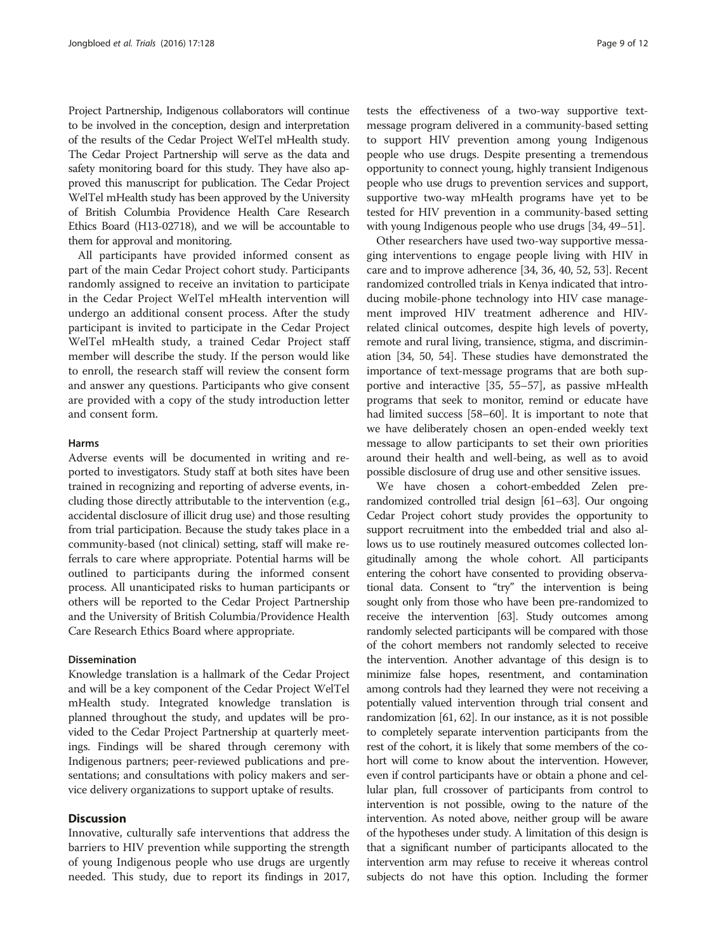Project Partnership, Indigenous collaborators will continue to be involved in the conception, design and interpretation of the results of the Cedar Project WelTel mHealth study. The Cedar Project Partnership will serve as the data and safety monitoring board for this study. They have also approved this manuscript for publication. The Cedar Project WelTel mHealth study has been approved by the University of British Columbia Providence Health Care Research Ethics Board (H13-02718), and we will be accountable to them for approval and monitoring.

All participants have provided informed consent as part of the main Cedar Project cohort study. Participants randomly assigned to receive an invitation to participate in the Cedar Project WelTel mHealth intervention will undergo an additional consent process. After the study participant is invited to participate in the Cedar Project WelTel mHealth study, a trained Cedar Project staff member will describe the study. If the person would like to enroll, the research staff will review the consent form and answer any questions. Participants who give consent are provided with a copy of the study introduction letter and consent form.

#### Harms

Adverse events will be documented in writing and reported to investigators. Study staff at both sites have been trained in recognizing and reporting of adverse events, including those directly attributable to the intervention (e.g., accidental disclosure of illicit drug use) and those resulting from trial participation. Because the study takes place in a community-based (not clinical) setting, staff will make referrals to care where appropriate. Potential harms will be outlined to participants during the informed consent process. All unanticipated risks to human participants or others will be reported to the Cedar Project Partnership and the University of British Columbia/Providence Health Care Research Ethics Board where appropriate.

#### Dissemination

Knowledge translation is a hallmark of the Cedar Project and will be a key component of the Cedar Project WelTel mHealth study. Integrated knowledge translation is planned throughout the study, and updates will be provided to the Cedar Project Partnership at quarterly meetings. Findings will be shared through ceremony with Indigenous partners; peer-reviewed publications and presentations; and consultations with policy makers and service delivery organizations to support uptake of results.

# **Discussion**

Innovative, culturally safe interventions that address the barriers to HIV prevention while supporting the strength of young Indigenous people who use drugs are urgently needed. This study, due to report its findings in 2017,

tests the effectiveness of a two-way supportive textmessage program delivered in a community-based setting to support HIV prevention among young Indigenous people who use drugs. Despite presenting a tremendous opportunity to connect young, highly transient Indigenous people who use drugs to prevention services and support, supportive two-way mHealth programs have yet to be tested for HIV prevention in a community-based setting with young Indigenous people who use drugs [[34](#page-10-0), [49](#page-11-0)–[51\]](#page-11-0).

Other researchers have used two-way supportive messaging interventions to engage people living with HIV in care and to improve adherence [\[34, 36](#page-10-0), [40](#page-11-0), [52, 53](#page-11-0)]. Recent randomized controlled trials in Kenya indicated that introducing mobile-phone technology into HIV case management improved HIV treatment adherence and HIVrelated clinical outcomes, despite high levels of poverty, remote and rural living, transience, stigma, and discrimination [\[34](#page-10-0), [50](#page-11-0), [54](#page-11-0)]. These studies have demonstrated the importance of text-message programs that are both supportive and interactive [\[35](#page-10-0), [55](#page-11-0)–[57\]](#page-11-0), as passive mHealth programs that seek to monitor, remind or educate have had limited success [\[58](#page-11-0)–[60](#page-11-0)]. It is important to note that we have deliberately chosen an open-ended weekly text message to allow participants to set their own priorities around their health and well-being, as well as to avoid possible disclosure of drug use and other sensitive issues.

We have chosen a cohort-embedded Zelen prerandomized controlled trial design [\[61](#page-11-0)–[63\]](#page-11-0). Our ongoing Cedar Project cohort study provides the opportunity to support recruitment into the embedded trial and also allows us to use routinely measured outcomes collected longitudinally among the whole cohort. All participants entering the cohort have consented to providing observational data. Consent to "try" the intervention is being sought only from those who have been pre-randomized to receive the intervention [\[63](#page-11-0)]. Study outcomes among randomly selected participants will be compared with those of the cohort members not randomly selected to receive the intervention. Another advantage of this design is to minimize false hopes, resentment, and contamination among controls had they learned they were not receiving a potentially valued intervention through trial consent and randomization [[61](#page-11-0), [62](#page-11-0)]. In our instance, as it is not possible to completely separate intervention participants from the rest of the cohort, it is likely that some members of the cohort will come to know about the intervention. However, even if control participants have or obtain a phone and cellular plan, full crossover of participants from control to intervention is not possible, owing to the nature of the intervention. As noted above, neither group will be aware of the hypotheses under study. A limitation of this design is that a significant number of participants allocated to the intervention arm may refuse to receive it whereas control subjects do not have this option. Including the former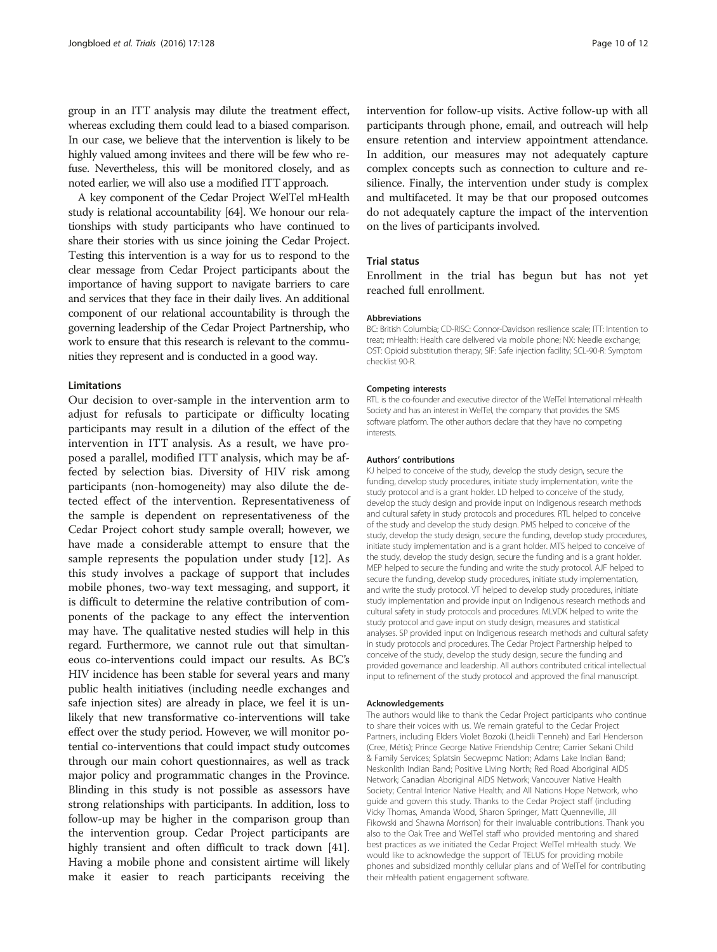group in an ITT analysis may dilute the treatment effect, whereas excluding them could lead to a biased comparison. In our case, we believe that the intervention is likely to be highly valued among invitees and there will be few who refuse. Nevertheless, this will be monitored closely, and as noted earlier, we will also use a modified ITT approach.

A key component of the Cedar Project WelTel mHealth study is relational accountability [[64](#page-11-0)]. We honour our relationships with study participants who have continued to share their stories with us since joining the Cedar Project. Testing this intervention is a way for us to respond to the clear message from Cedar Project participants about the importance of having support to navigate barriers to care and services that they face in their daily lives. An additional component of our relational accountability is through the governing leadership of the Cedar Project Partnership, who work to ensure that this research is relevant to the communities they represent and is conducted in a good way.

#### **Limitations**

Our decision to over-sample in the intervention arm to adjust for refusals to participate or difficulty locating participants may result in a dilution of the effect of the intervention in ITT analysis. As a result, we have proposed a parallel, modified ITT analysis, which may be affected by selection bias. Diversity of HIV risk among participants (non-homogeneity) may also dilute the detected effect of the intervention. Representativeness of the sample is dependent on representativeness of the Cedar Project cohort study sample overall; however, we have made a considerable attempt to ensure that the sample represents the population under study [\[12\]](#page-10-0). As this study involves a package of support that includes mobile phones, two-way text messaging, and support, it is difficult to determine the relative contribution of components of the package to any effect the intervention may have. The qualitative nested studies will help in this regard. Furthermore, we cannot rule out that simultaneous co-interventions could impact our results. As BC's HIV incidence has been stable for several years and many public health initiatives (including needle exchanges and safe injection sites) are already in place, we feel it is unlikely that new transformative co-interventions will take effect over the study period. However, we will monitor potential co-interventions that could impact study outcomes through our main cohort questionnaires, as well as track major policy and programmatic changes in the Province. Blinding in this study is not possible as assessors have strong relationships with participants. In addition, loss to follow-up may be higher in the comparison group than the intervention group. Cedar Project participants are highly transient and often difficult to track down [[41](#page-11-0)]. Having a mobile phone and consistent airtime will likely make it easier to reach participants receiving the

intervention for follow-up visits. Active follow-up with all participants through phone, email, and outreach will help ensure retention and interview appointment attendance. In addition, our measures may not adequately capture complex concepts such as connection to culture and resilience. Finally, the intervention under study is complex and multifaceted. It may be that our proposed outcomes do not adequately capture the impact of the intervention on the lives of participants involved.

# Trial status

Enrollment in the trial has begun but has not yet reached full enrollment.

#### Abbreviations

BC: British Columbia; CD-RISC: Connor-Davidson resilience scale; ITT: Intention to treat; mHealth: Health care delivered via mobile phone; NX: Needle exchange; OST: Opioid substitution therapy; SIF: Safe injection facility; SCL-90-R: Symptom checklist 90-R.

#### Competing interests

RTL is the co-founder and executive director of the WelTel International mHealth Society and has an interest in WelTel, the company that provides the SMS software platform. The other authors declare that they have no competing interests.

#### Authors' contributions

KJ helped to conceive of the study, develop the study design, secure the funding, develop study procedures, initiate study implementation, write the study protocol and is a grant holder. LD helped to conceive of the study, develop the study design and provide input on Indigenous research methods and cultural safety in study protocols and procedures. RTL helped to conceive of the study and develop the study design. PMS helped to conceive of the study, develop the study design, secure the funding, develop study procedures, initiate study implementation and is a grant holder. MTS helped to conceive of the study, develop the study design, secure the funding and is a grant holder. MEP helped to secure the funding and write the study protocol. AJF helped to secure the funding, develop study procedures, initiate study implementation, and write the study protocol. VT helped to develop study procedures, initiate study implementation and provide input on Indigenous research methods and cultural safety in study protocols and procedures. MLVDK helped to write the study protocol and gave input on study design, measures and statistical analyses. SP provided input on Indigenous research methods and cultural safety in study protocols and procedures. The Cedar Project Partnership helped to conceive of the study, develop the study design, secure the funding and provided governance and leadership. All authors contributed critical intellectual input to refinement of the study protocol and approved the final manuscript.

#### Acknowledgements

The authors would like to thank the Cedar Project participants who continue to share their voices with us. We remain grateful to the Cedar Project Partners, including Elders Violet Bozoki (Lheidli T'enneh) and Earl Henderson (Cree, Métis); Prince George Native Friendship Centre; Carrier Sekani Child & Family Services; Splatsin Secwepmc Nation; Adams Lake Indian Band; Neskonlith Indian Band; Positive Living North; Red Road Aboriginal AIDS Network; Canadian Aboriginal AIDS Network; Vancouver Native Health Society; Central Interior Native Health; and All Nations Hope Network, who guide and govern this study. Thanks to the Cedar Project staff (including Vicky Thomas, Amanda Wood, Sharon Springer, Matt Quenneville, Jill Fikowski and Shawna Morrison) for their invaluable contributions. Thank you also to the Oak Tree and WelTel staff who provided mentoring and shared best practices as we initiated the Cedar Project WelTel mHealth study. We would like to acknowledge the support of TELUS for providing mobile phones and subsidized monthly cellular plans and of WelTel for contributing their mHealth patient engagement software.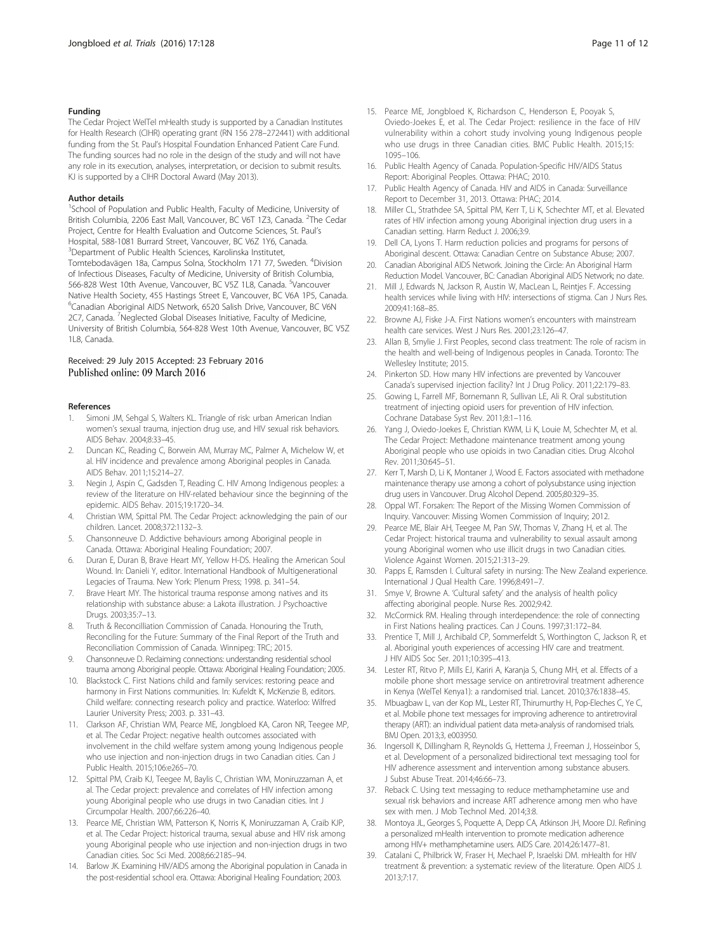#### <span id="page-10-0"></span>Funding

The Cedar Project WelTel mHealth study is supported by a Canadian Institutes for Health Research (CIHR) operating grant (RN 156 278–272441) with additional funding from the St. Paul's Hospital Foundation Enhanced Patient Care Fund. The funding sources had no role in the design of the study and will not have any role in its execution, analyses, interpretation, or decision to submit results. KJ is supported by a CIHR Doctoral Award (May 2013).

#### Author details

<sup>1</sup>School of Population and Public Health, Faculty of Medicine, University of British Columbia, 2206 East Mall, Vancouver, BC V6T 1Z3, Canada. <sup>2</sup>The Cedar Project, Centre for Health Evaluation and Outcome Sciences, St. Paul's Hospital, 588-1081 Burrard Street, Vancouver, BC V6Z 1Y6, Canada. <sup>3</sup>Department of Public Health Sciences, Karolinska Institutet, Tomtebodavägen 18a, Campus Solna, Stockholm 171 77, Sweden. <sup>4</sup>Division of Infectious Diseases, Faculty of Medicine, University of British Columbia, 566-828 West 10th Avenue, Vancouver, BC V5Z 1L8, Canada. <sup>5</sup>Vancouver Native Health Society, 455 Hastings Street E, Vancouver, BC V6A 1P5, Canada. 6 Canadian Aboriginal AIDS Network, 6520 Salish Drive, Vancouver, BC V6N 2C7, Canada. <sup>7</sup>Neglected Global Diseases Initiative, Faculty of Medicine, University of British Columbia, 564-828 West 10th Avenue, Vancouver, BC V5Z 1L8, Canada.

#### Received: 29 July 2015 Accepted: 23 February 2016 Published online: 09 March 2016

#### References

- Simoni JM, Sehgal S, Walters KL. Triangle of risk: urban American Indian women's sexual trauma, injection drug use, and HIV sexual risk behaviors. AIDS Behav. 2004;8:33–45.
- 2. Duncan KC, Reading C, Borwein AM, Murray MC, Palmer A, Michelow W, et al. HIV incidence and prevalence among Aboriginal peoples in Canada. AIDS Behav. 2011;15:214–27.
- 3. Negin J, Aspin C, Gadsden T, Reading C. HIV Among Indigenous peoples: a review of the literature on HIV-related behaviour since the beginning of the epidemic. AIDS Behav. 2015;19:1720–34.
- 4. Christian WM, Spittal PM. The Cedar Project: acknowledging the pain of our children. Lancet. 2008;372:1132–3.
- 5. Chansonneuve D. Addictive behaviours among Aboriginal people in Canada. Ottawa: Aboriginal Healing Foundation; 2007.
- 6. Duran E, Duran B, Brave Heart MY, Yellow H-DS. Healing the American Soul Wound. In: Danieli Y, editor. International Handbook of Multigenerational Legacies of Trauma. New York: Plenum Press; 1998. p. 341–54.
- 7. Brave Heart MY. The historical trauma response among natives and its relationship with substance abuse: a Lakota illustration. J Psychoactive Drugs. 2003;35:7–13.
- 8. Truth & Reconcilliation Commission of Canada. Honouring the Truth, Reconciling for the Future: Summary of the Final Report of the Truth and Reconciliation Commission of Canada. Winnipeg: TRC; 2015.
- 9. Chansonneuve D. Reclaiming connections: understanding residential school trauma among Aboriginal people. Ottawa: Aboriginal Healing Foundation; 2005.
- 10. Blackstock C. First Nations child and family services: restoring peace and harmony in First Nations communities. In: Kufeldt K, McKenzie B, editors. Child welfare: connecting research policy and practice. Waterloo: Wilfred Laurier University Press; 2003. p. 331–43.
- 11. Clarkson AF, Christian WM, Pearce ME, Jongbloed KA, Caron NR, Teegee MP, et al. The Cedar Project: negative health outcomes associated with involvement in the child welfare system among young Indigenous people who use injection and non-injection drugs in two Canadian cities. Can J Public Health. 2015;106:e265–70.
- 12. Spittal PM, Craib KJ, Teegee M, Baylis C, Christian WM, Moniruzzaman A, et al. The Cedar project: prevalence and correlates of HIV infection among young Aboriginal people who use drugs in two Canadian cities. Int J Circumpolar Health. 2007;66:226–40.
- 13. Pearce ME, Christian WM, Patterson K, Norris K, Moniruzzaman A, Craib KJP, et al. The Cedar Project: historical trauma, sexual abuse and HIV risk among young Aboriginal people who use injection and non-injection drugs in two Canadian cities. Soc Sci Med. 2008;66:2185–94.
- 14. Barlow JK. Examining HIV/AIDS among the Aboriginal population in Canada in the post-residential school era. Ottawa: Aboriginal Healing Foundation; 2003.
- 15. Pearce ME, Jongbloed K, Richardson C, Henderson E, Pooyak S, Oviedo-Joekes E, et al. The Cedar Project: resilience in the face of HIV vulnerability within a cohort study involving young Indigenous people who use drugs in three Canadian cities. BMC Public Health. 2015;15: 1095–106.
- 16. Public Health Agency of Canada. Population-Specific HIV/AIDS Status Report: Aboriginal Peoples. Ottawa: PHAC; 2010.
- 17. Public Health Agency of Canada. HIV and AIDS in Canada: Surveillance Report to December 31, 2013. Ottawa: PHAC; 2014.
- 18. Miller CL, Strathdee SA, Spittal PM, Kerr T, Li K, Schechter MT, et al. Elevated rates of HIV infection among young Aboriginal injection drug users in a Canadian setting. Harm Reduct J. 2006;3:9.
- 19. Dell CA, Lyons T. Harm reduction policies and programs for persons of Aboriginal descent. Ottawa: Canadian Centre on Substance Abuse; 2007.
- 20. Canadian Aboriginal AIDS Network. Joining the Circle: An Aboriginal Harm Reduction Model. Vancouver, BC: Canadian Aboriginal AIDS Network; no date.
- 21. Mill J, Edwards N, Jackson R, Austin W, MacLean L, Reintjes F. Accessing health services while living with HIV: intersections of stigma. Can J Nurs Res. 2009;41:168–85.
- 22. Browne AJ, Fiske J-A. First Nations women's encounters with mainstream health care services. West J Nurs Res. 2001;23:126–47.
- 23. Allan B, Smylie J. First Peoples, second class treatment: The role of racism in the health and well-being of Indigenous peoples in Canada. Toronto: The Wellesley Institute; 2015.
- 24. Pinkerton SD. How many HIV infections are prevented by Vancouver Canada's supervised injection facility? Int J Drug Policy. 2011;22:179–83.
- 25. Gowing L, Farrell MF, Bornemann R, Sullivan LE, Ali R. Oral substitution treatment of injecting opioid users for prevention of HIV infection. Cochrane Database Syst Rev. 2011;8:1–116.
- 26. Yang J, Oviedo-Joekes E, Christian KWM, Li K, Louie M, Schechter M, et al. The Cedar Project: Methadone maintenance treatment among young Aboriginal people who use opioids in two Canadian cities. Drug Alcohol Rev. 2011;30:645–51.
- 27. Kerr T, Marsh D, Li K, Montaner J, Wood E. Factors associated with methadone maintenance therapy use among a cohort of polysubstance using injection drug users in Vancouver. Drug Alcohol Depend. 2005;80:329–35.
- 28. Oppal WT. Forsaken: The Report of the Missing Women Commission of Inquiry. Vancouver: Missing Women Commission of Inquiry; 2012.
- 29. Pearce ME, Blair AH, Teegee M, Pan SW, Thomas V, Zhang H, et al. The Cedar Project: historical trauma and vulnerability to sexual assault among young Aboriginal women who use illicit drugs in two Canadian cities. Violence Against Women. 2015;21:313–29.
- 30. Papps E, Ramsden I. Cultural safety in nursing: The New Zealand experience. International J Qual Health Care. 1996;8:491–7.
- 31. Smye V, Browne A. 'Cultural safety' and the analysis of health policy affecting aboriginal people. Nurse Res. 2002;9:42.
- 32. McCormick RM. Healing through interdependence: the role of connecting in First Nations healing practices. Can J Couns. 1997;31:172–84.
- 33. Prentice T, Mill J, Archibald CP, Sommerfeldt S, Worthington C, Jackson R, et al. Aboriginal youth experiences of accessing HIV care and treatment. J HIV AIDS Soc Ser. 2011;10:395–413.
- 34. Lester RT, Ritvo P, Mills EJ, Kariri A, Karanja S, Chung MH, et al. Effects of a mobile phone short message service on antiretroviral treatment adherence in Kenya (WelTel Kenya1): a randomised trial. Lancet. 2010;376:1838–45.
- 35. Mbuagbaw L, van der Kop ML, Lester RT, Thirumurthy H, Pop-Eleches C, Ye C, et al. Mobile phone text messages for improving adherence to antiretroviral therapy (ART): an individual patient data meta-analysis of randomised trials. BMJ Open. 2013;3, e003950.
- 36. Ingersoll K, Dillingham R, Reynolds G, Hettema J, Freeman J, Hosseinbor S, et al. Development of a personalized bidirectional text messaging tool for HIV adherence assessment and intervention among substance abusers. J Subst Abuse Treat. 2014;46:66–73.
- 37. Reback C. Using text messaging to reduce methamphetamine use and sexual risk behaviors and increase ART adherence among men who have sex with men. J Mob Technol Med. 2014;3:8.
- 38. Montoya JL, Georges S, Poquette A, Depp CA, Atkinson JH, Moore DJ. Refining a personalized mHealth intervention to promote medication adherence among HIV+ methamphetamine users. AIDS Care. 2014;26:1477–81.
- 39. Catalani C, Philbrick W, Fraser H, Mechael P, Israelski DM. mHealth for HIV treatment & prevention: a systematic review of the literature. Open AIDS J. 2013;7:17.